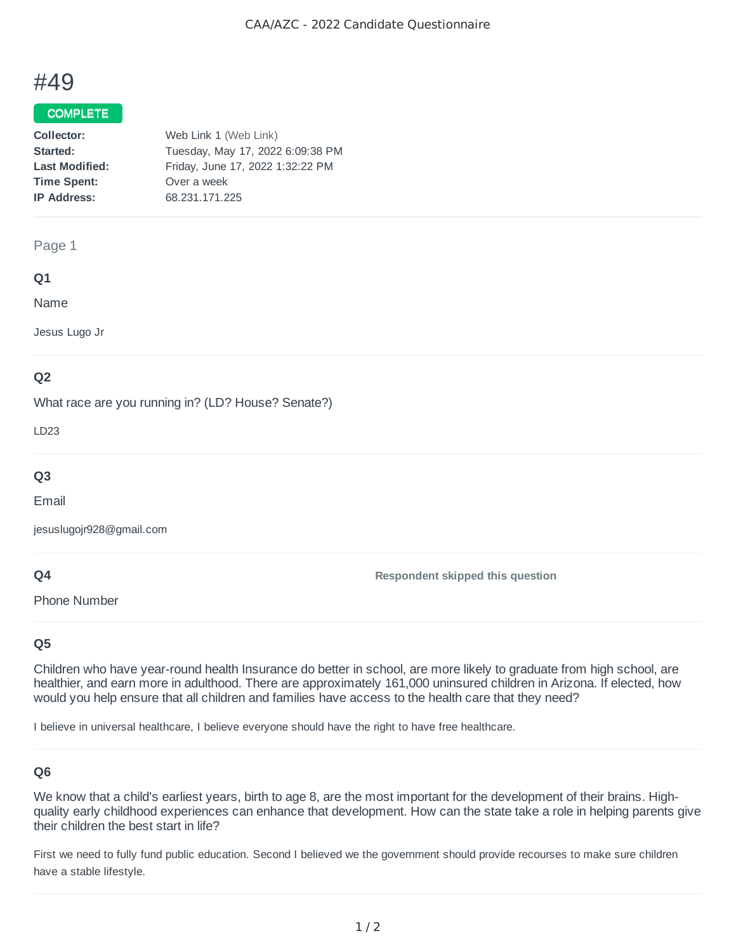# #49

#### **COMPLETE**

| Web Link 1 (Web Link)            |
|----------------------------------|
| Tuesday, May 17, 2022 6:09:38 PM |
| Friday, June 17, 2022 1:32:22 PM |
| Over a week                      |
| 68.231.171.225                   |
|                                  |

#### Page 1

#### **Q1**

Name

Jesus Lugo Jr

## **Q2**

What race are you running in? (LD? House? Senate?)

LD23

## **Q3**

Email

jesuslugojr928@gmail.com

#### **Q4**

Phone Number

**Respondent skipped this question**

## **Q5**

Children who have year-round health Insurance do better in school, are more likely to graduate from high school, are healthier, and earn more in adulthood. There are approximately 161,000 uninsured children in Arizona. If elected, how would you help ensure that all children and families have access to the health care that they need?

I believe in universal healthcare, I believe everyone should have the right to have free healthcare.

## **Q6**

We know that a child's earliest years, birth to age 8, are the most important for the development of their brains. Highquality early childhood experiences can enhance that development. How can the state take a role in helping parents give their children the best start in life?

First we need to fully fund public education. Second I believed we the government should provide recourses to make sure children have a stable lifestyle.